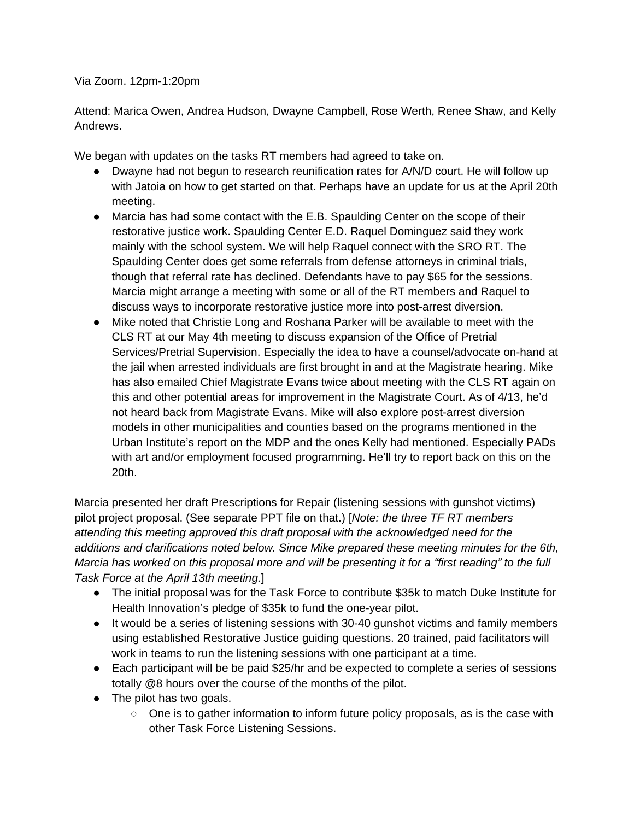Via Zoom. 12pm-1:20pm

Attend: Marica Owen, Andrea Hudson, Dwayne Campbell, Rose Werth, Renee Shaw, and Kelly Andrews.

We began with updates on the tasks RT members had agreed to take on.

- Dwayne had not begun to research reunification rates for A/N/D court. He will follow up with Jatoia on how to get started on that. Perhaps have an update for us at the April 20th meeting.
- Marcia has had some contact with the E.B. Spaulding Center on the scope of their restorative justice work. Spaulding Center E.D. Raquel Dominguez said they work mainly with the school system. We will help Raquel connect with the SRO RT. The Spaulding Center does get some referrals from defense attorneys in criminal trials, though that referral rate has declined. Defendants have to pay \$65 for the sessions. Marcia might arrange a meeting with some or all of the RT members and Raquel to discuss ways to incorporate restorative justice more into post-arrest diversion.
- Mike noted that Christie Long and Roshana Parker will be available to meet with the CLS RT at our May 4th meeting to discuss expansion of the Office of Pretrial Services/Pretrial Supervision. Especially the idea to have a counsel/advocate on-hand at the jail when arrested individuals are first brought in and at the Magistrate hearing. Mike has also emailed Chief Magistrate Evans twice about meeting with the CLS RT again on this and other potential areas for improvement in the Magistrate Court. As of 4/13, he'd not heard back from Magistrate Evans. Mike will also explore post-arrest diversion models in other municipalities and counties based on the programs mentioned in the Urban Institute's report on the MDP and the ones Kelly had mentioned. Especially PADs with art and/or employment focused programming. He'll try to report back on this on the 20th.

Marcia presented her draft Prescriptions for Repair (listening sessions with gunshot victims) pilot project proposal. (See separate PPT file on that.) [*Note: the three TF RT members attending this meeting approved this draft proposal with the acknowledged need for the additions and clarifications noted below. Since Mike prepared these meeting minutes for the 6th, Marcia has worked on this proposal more and will be presenting it for a "first reading" to the full Task Force at the April 13th meeting.*]

- The initial proposal was for the Task Force to contribute \$35k to match Duke Institute for Health Innovation's pledge of \$35k to fund the one-year pilot.
- It would be a series of listening sessions with 30-40 gunshot victims and family members using established Restorative Justice guiding questions. 20 trained, paid facilitators will work in teams to run the listening sessions with one participant at a time.
- Each participant will be be paid \$25/hr and be expected to complete a series of sessions totally @8 hours over the course of the months of the pilot.
- The pilot has two goals.
	- $\circ$  One is to gather information to inform future policy proposals, as is the case with other Task Force Listening Sessions.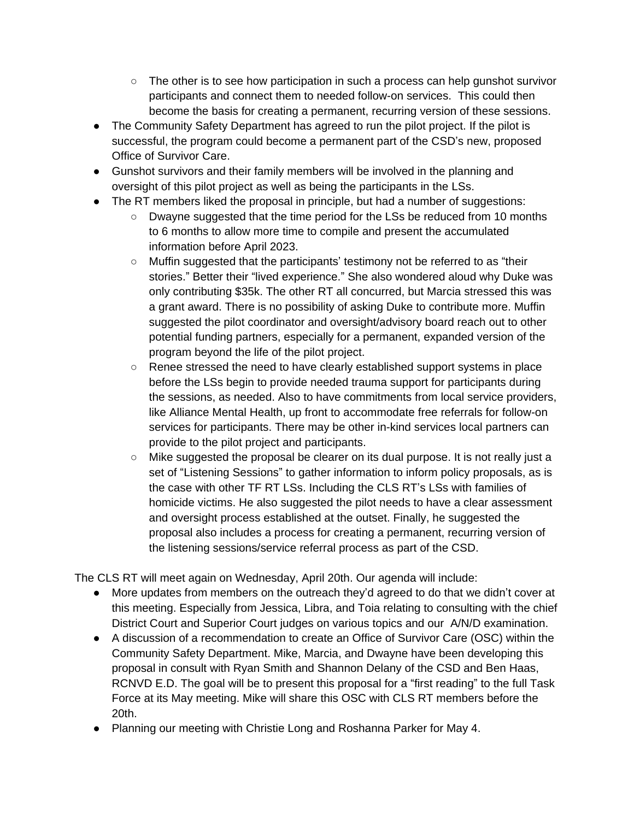- The other is to see how participation in such a process can help gunshot survivor participants and connect them to needed follow-on services. This could then become the basis for creating a permanent, recurring version of these sessions.
- The Community Safety Department has agreed to run the pilot project. If the pilot is successful, the program could become a permanent part of the CSD's new, proposed Office of Survivor Care.
- Gunshot survivors and their family members will be involved in the planning and oversight of this pilot project as well as being the participants in the LSs.
- The RT members liked the proposal in principle, but had a number of suggestions:
	- Dwayne suggested that the time period for the LSs be reduced from 10 months to 6 months to allow more time to compile and present the accumulated information before April 2023.
	- Muffin suggested that the participants' testimony not be referred to as "their stories." Better their "lived experience." She also wondered aloud why Duke was only contributing \$35k. The other RT all concurred, but Marcia stressed this was a grant award. There is no possibility of asking Duke to contribute more. Muffin suggested the pilot coordinator and oversight/advisory board reach out to other potential funding partners, especially for a permanent, expanded version of the program beyond the life of the pilot project.
	- Renee stressed the need to have clearly established support systems in place before the LSs begin to provide needed trauma support for participants during the sessions, as needed. Also to have commitments from local service providers, like Alliance Mental Health, up front to accommodate free referrals for follow-on services for participants. There may be other in-kind services local partners can provide to the pilot project and participants.
	- $\circ$  Mike suggested the proposal be clearer on its dual purpose. It is not really just a set of "Listening Sessions" to gather information to inform policy proposals, as is the case with other TF RT LSs. Including the CLS RT's LSs with families of homicide victims. He also suggested the pilot needs to have a clear assessment and oversight process established at the outset. Finally, he suggested the proposal also includes a process for creating a permanent, recurring version of the listening sessions/service referral process as part of the CSD.

The CLS RT will meet again on Wednesday, April 20th. Our agenda will include:

- More updates from members on the outreach they'd agreed to do that we didn't cover at this meeting. Especially from Jessica, Libra, and Toia relating to consulting with the chief District Court and Superior Court judges on various topics and our A/N/D examination.
- A discussion of a recommendation to create an Office of Survivor Care (OSC) within the Community Safety Department. Mike, Marcia, and Dwayne have been developing this proposal in consult with Ryan Smith and Shannon Delany of the CSD and Ben Haas, RCNVD E.D. The goal will be to present this proposal for a "first reading" to the full Task Force at its May meeting. Mike will share this OSC with CLS RT members before the 20th.
- Planning our meeting with Christie Long and Roshanna Parker for May 4.